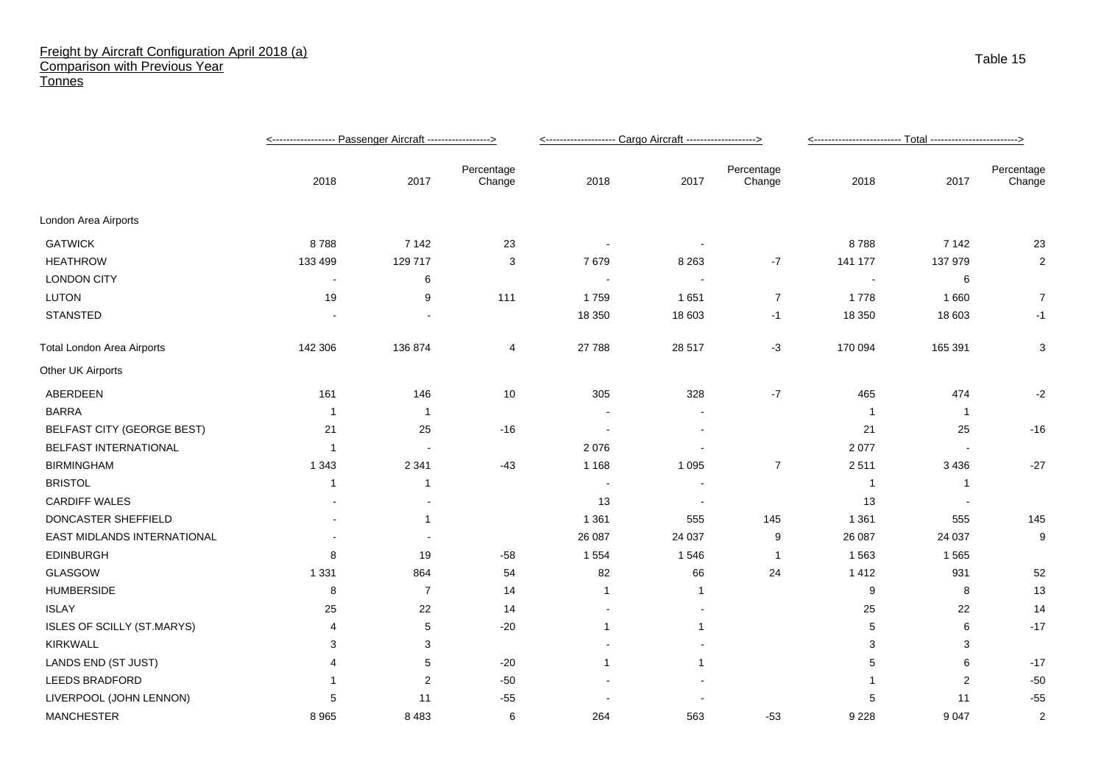## Freight by Aircraft Configuration April 2018 (a) Comparison with Previous Year **Tonnes**

|                                   |                |             |                      | <-------------------- Cargo Aircraft -------------------> |                          |                      |                          |                |                      |
|-----------------------------------|----------------|-------------|----------------------|-----------------------------------------------------------|--------------------------|----------------------|--------------------------|----------------|----------------------|
|                                   | 2018           | 2017        | Percentage<br>Change | 2018                                                      | 2017                     | Percentage<br>Change | 2018                     | 2017           | Percentage<br>Change |
| London Area Airports              |                |             |                      |                                                           |                          |                      |                          |                |                      |
| <b>GATWICK</b>                    | 8788           | 7 1 4 2     | 23                   |                                                           |                          |                      | 8788                     | 7 1 4 2        | 23                   |
| <b>HEATHROW</b>                   | 133 499        | 129 717     | 3                    | 7679                                                      | 8 2 6 3                  | $-7$                 | 141 177                  | 137 979        | 2                    |
| <b>LONDON CITY</b>                | $\blacksquare$ | 6           |                      |                                                           |                          |                      |                          | 6              |                      |
| LUTON                             | 19             | 9           | 111                  | 1759                                                      | 1651                     | $\overline{7}$       | 1778                     | 1660           | $\overline{7}$       |
| <b>STANSTED</b>                   |                |             |                      | 18 350                                                    | 18 603                   | $-1$                 | 18 350                   | 18 603         | -1                   |
| <b>Total London Area Airports</b> | 142 306        | 136 874     | 4                    | 27 788                                                    | 28 517                   | $-3$                 | 170 094                  | 165 391        | 3                    |
| Other UK Airports                 |                |             |                      |                                                           |                          |                      |                          |                |                      |
| ABERDEEN                          | 161            | 146         | 10                   | 305                                                       | 328                      | $-7$                 | 465                      | 474            | $-2$                 |
| <b>BARRA</b>                      | -1             | -1          |                      |                                                           |                          |                      |                          | $\overline{1}$ |                      |
| <b>BELFAST CITY (GEORGE BEST)</b> | 21             | 25          | $-16$                |                                                           |                          |                      | 21                       | 25             | $-16$                |
| BELFAST INTERNATIONAL             | -1             |             |                      | 2076                                                      |                          |                      | 2 0 7 7                  |                |                      |
| <b>BIRMINGHAM</b>                 | 1 3 4 3        | 2 3 4 1     | $-43$                | 1 1 6 8                                                   | 1 0 9 5                  | $\overline{7}$       | 2511                     | 3 4 3 6        | $-27$                |
| <b>BRISTOL</b>                    | -1             | -1          |                      | $\overline{\phantom{a}}$                                  |                          |                      | -1                       | -1             |                      |
| <b>CARDIFF WALES</b>              |                |             |                      | 13                                                        | $\overline{\phantom{a}}$ |                      | 13                       |                |                      |
| DONCASTER SHEFFIELD               |                | $\mathbf 1$ |                      | 1 3 6 1                                                   | 555                      | 145                  | 1 3 6 1                  | 555            | 145                  |
| EAST MIDLANDS INTERNATIONAL       |                |             |                      | 26 087                                                    | 24 037                   | 9                    | 26 087                   | 24 037         | 9                    |
| <b>EDINBURGH</b>                  | 8              | 19          | $-58$                | 1 5 5 4                                                   | 1546                     | -1                   | 1 5 6 3                  | 1565           |                      |
| GLASGOW                           | 1 3 3 1        | 864         | 54                   | 82                                                        | 66                       | 24                   | 1 4 1 2                  | 931            | 52                   |
| <b>HUMBERSIDE</b>                 | 8              | 7           | 14                   | $\mathbf{1}$                                              | -1                       |                      | 9                        | 8              | 13                   |
| <b>ISLAY</b>                      | 25             | 22          | 14                   |                                                           |                          |                      | 25                       | 22             | 14                   |
| ISLES OF SCILLY (ST.MARYS)        | $\overline{4}$ | 5           | $-20$                | $\mathbf{1}$                                              | 1                        |                      | 5                        | 6              | $-17$                |
| <b>KIRKWALL</b>                   | 3              | 3           |                      |                                                           |                          |                      | 3                        | 3              |                      |
| LANDS END (ST JUST)               | 4              | 5           | $-20$                | 1                                                         | 1                        |                      | 5                        | 6              | $-17$                |
| <b>LEEDS BRADFORD</b>             |                | 2           | $-50$                |                                                           |                          |                      | $\overline{\phantom{a}}$ | 2              | $-50$                |
| LIVERPOOL (JOHN LENNON)           |                | 11          | $-55$                |                                                           |                          |                      | 5                        | 11             | $-55$                |
| <b>MANCHESTER</b>                 | 8 9 6 5        | 8 4 8 3     | 6                    | 264                                                       | 563                      | $-53$                | 9 2 2 8                  | 9 0 4 7        | $\overline{2}$       |